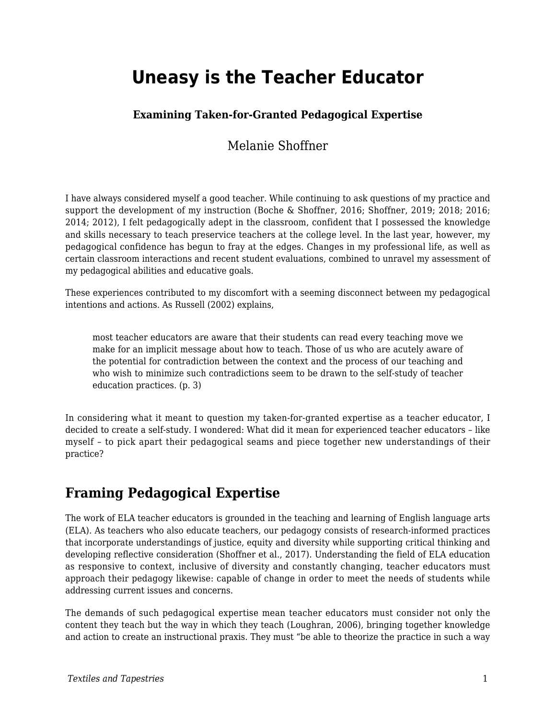# **Uneasy is the Teacher Educator**

#### **Examining Taken-for-Granted Pedagogical Expertise**

### Melanie Shoffner

I have always considered myself a good teacher. While continuing to ask questions of my practice and support the development of my instruction (Boche & Shoffner, 2016; Shoffner, 2019; 2018; 2016; 2014; 2012), I felt pedagogically adept in the classroom, confident that I possessed the knowledge and skills necessary to teach preservice teachers at the college level. In the last year, however, my pedagogical confidence has begun to fray at the edges. Changes in my professional life, as well as certain classroom interactions and recent student evaluations, combined to unravel my assessment of my pedagogical abilities and educative goals.

These experiences contributed to my discomfort with a seeming disconnect between my pedagogical intentions and actions. As Russell (2002) explains,

most teacher educators are aware that their students can read every teaching move we make for an implicit message about how to teach. Those of us who are acutely aware of the potential for contradiction between the context and the process of our teaching and who wish to minimize such contradictions seem to be drawn to the self-study of teacher education practices. (p. 3)

In considering what it meant to question my taken-for-granted expertise as a teacher educator, I decided to create a self-study. I wondered: What did it mean for experienced teacher educators – like myself – to pick apart their pedagogical seams and piece together new understandings of their practice?

### **Framing Pedagogical Expertise**

The work of ELA teacher educators is grounded in the teaching and learning of English language arts (ELA). As teachers who also educate teachers, our pedagogy consists of research-informed practices that incorporate understandings of justice, equity and diversity while supporting critical thinking and developing reflective consideration (Shoffner et al., 2017). Understanding the field of ELA education as responsive to context, inclusive of diversity and constantly changing, teacher educators must approach their pedagogy likewise: capable of change in order to meet the needs of students while addressing current issues and concerns.

The demands of such pedagogical expertise mean teacher educators must consider not only the content they teach but the way in which they teach (Loughran, 2006), bringing together knowledge and action to create an instructional praxis. They must "be able to theorize the practice in such a way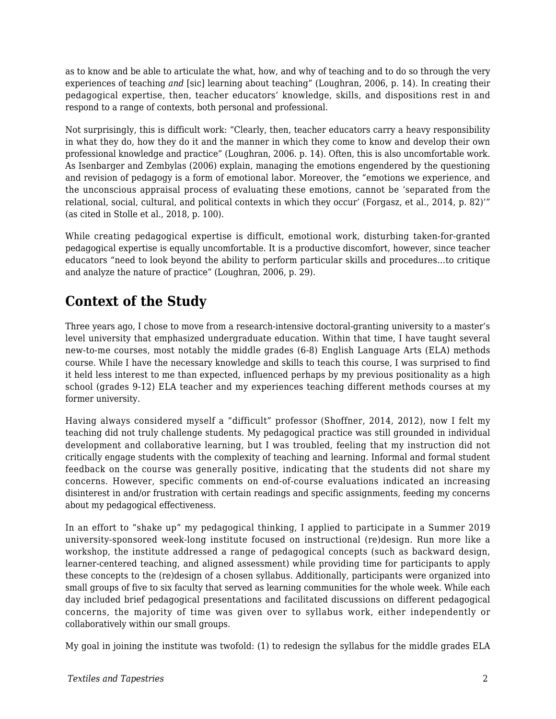as to know and be able to articulate the what, how, and why of teaching and to do so through the very experiences of teaching *and* [sic] learning about teaching" (Loughran, 2006, p. 14). In creating their pedagogical expertise, then, teacher educators' knowledge, skills, and dispositions rest in and respond to a range of contexts, both personal and professional.

Not surprisingly, this is difficult work: "Clearly, then, teacher educators carry a heavy responsibility in what they do, how they do it and the manner in which they come to know and develop their own professional knowledge and practice" (Loughran, 2006. p. 14). Often, this is also uncomfortable work. As Isenbarger and Zembylas (2006) explain, managing the emotions engendered by the questioning and revision of pedagogy is a form of emotional labor. Moreover, the "emotions we experience, and the unconscious appraisal process of evaluating these emotions, cannot be 'separated from the relational, social, cultural, and political contexts in which they occur' (Forgasz, et al., 2014, p. 82)'" (as cited in Stolle et al., 2018, p. 100).

While creating pedagogical expertise is difficult, emotional work, disturbing taken-for-granted pedagogical expertise is equally uncomfortable. It is a productive discomfort, however, since teacher educators "need to look beyond the ability to perform particular skills and procedures…to critique and analyze the nature of practice" (Loughran, 2006, p. 29).

# **Context of the Study**

Three years ago, I chose to move from a research-intensive doctoral-granting university to a master's level university that emphasized undergraduate education. Within that time, I have taught several new-to-me courses, most notably the middle grades (6-8) English Language Arts (ELA) methods course. While I have the necessary knowledge and skills to teach this course, I was surprised to find it held less interest to me than expected, influenced perhaps by my previous positionality as a high school (grades 9-12) ELA teacher and my experiences teaching different methods courses at my former university.

Having always considered myself a "difficult" professor (Shoffner, 2014, 2012), now I felt my teaching did not truly challenge students. My pedagogical practice was still grounded in individual development and collaborative learning, but I was troubled, feeling that my instruction did not critically engage students with the complexity of teaching and learning. Informal and formal student feedback on the course was generally positive, indicating that the students did not share my concerns. However, specific comments on end-of-course evaluations indicated an increasing disinterest in and/or frustration with certain readings and specific assignments, feeding my concerns about my pedagogical effectiveness.

In an effort to "shake up" my pedagogical thinking, I applied to participate in a Summer 2019 university-sponsored week-long institute focused on instructional (re)design. Run more like a workshop, the institute addressed a range of pedagogical concepts (such as backward design, learner-centered teaching, and aligned assessment) while providing time for participants to apply these concepts to the (re)design of a chosen syllabus. Additionally, participants were organized into small groups of five to six faculty that served as learning communities for the whole week. While each day included brief pedagogical presentations and facilitated discussions on different pedagogical concerns, the majority of time was given over to syllabus work, either independently or collaboratively within our small groups.

My goal in joining the institute was twofold: (1) to redesign the syllabus for the middle grades ELA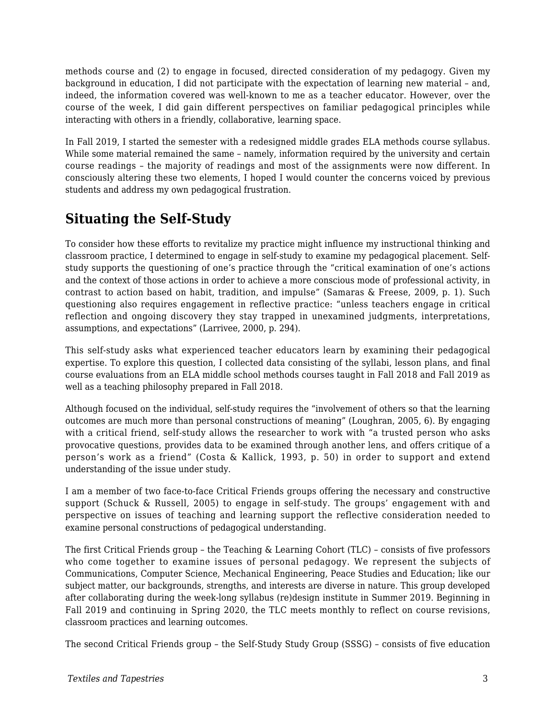methods course and (2) to engage in focused, directed consideration of my pedagogy. Given my background in education, I did not participate with the expectation of learning new material – and, indeed, the information covered was well-known to me as a teacher educator. However, over the course of the week, I did gain different perspectives on familiar pedagogical principles while interacting with others in a friendly, collaborative, learning space.

In Fall 2019, I started the semester with a redesigned middle grades ELA methods course syllabus. While some material remained the same – namely, information required by the university and certain course readings – the majority of readings and most of the assignments were now different. In consciously altering these two elements, I hoped I would counter the concerns voiced by previous students and address my own pedagogical frustration.

# **Situating the Self-Study**

To consider how these efforts to revitalize my practice might influence my instructional thinking and classroom practice, I determined to engage in self-study to examine my pedagogical placement. Selfstudy supports the questioning of one's practice through the "critical examination of one's actions and the context of those actions in order to achieve a more conscious mode of professional activity, in contrast to action based on habit, tradition, and impulse" (Samaras & Freese, 2009, p. 1). Such questioning also requires engagement in reflective practice: "unless teachers engage in critical reflection and ongoing discovery they stay trapped in unexamined judgments, interpretations, assumptions, and expectations" (Larrivee, 2000, p. 294).

This self-study asks what experienced teacher educators learn by examining their pedagogical expertise. To explore this question, I collected data consisting of the syllabi, lesson plans, and final course evaluations from an ELA middle school methods courses taught in Fall 2018 and Fall 2019 as well as a teaching philosophy prepared in Fall 2018.

Although focused on the individual, self-study requires the "involvement of others so that the learning outcomes are much more than personal constructions of meaning" (Loughran, 2005, 6). By engaging with a critical friend, self-study allows the researcher to work with "a trusted person who asks provocative questions, provides data to be examined through another lens, and offers critique of a person's work as a friend" (Costa & Kallick, 1993, p. 50) in order to support and extend understanding of the issue under study.

I am a member of two face-to-face Critical Friends groups offering the necessary and constructive support (Schuck & Russell, 2005) to engage in self-study. The groups' engagement with and perspective on issues of teaching and learning support the reflective consideration needed to examine personal constructions of pedagogical understanding.

The first Critical Friends group – the Teaching & Learning Cohort (TLC) – consists of five professors who come together to examine issues of personal pedagogy. We represent the subjects of Communications, Computer Science, Mechanical Engineering, Peace Studies and Education; like our subject matter, our backgrounds, strengths, and interests are diverse in nature. This group developed after collaborating during the week-long syllabus (re)design institute in Summer 2019. Beginning in Fall 2019 and continuing in Spring 2020, the TLC meets monthly to reflect on course revisions, classroom practices and learning outcomes.

The second Critical Friends group – the Self-Study Study Group (SSSG) – consists of five education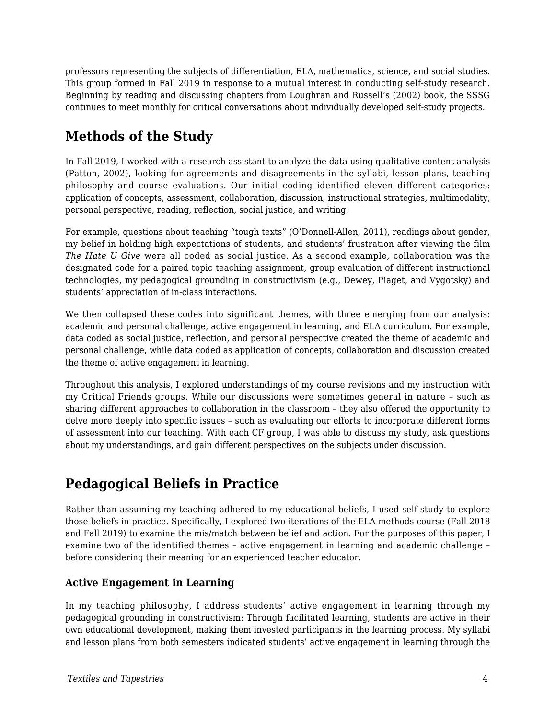professors representing the subjects of differentiation, ELA, mathematics, science, and social studies. This group formed in Fall 2019 in response to a mutual interest in conducting self-study research. Beginning by reading and discussing chapters from Loughran and Russell's (2002) book, the SSSG continues to meet monthly for critical conversations about individually developed self-study projects.

# **Methods of the Study**

In Fall 2019, I worked with a research assistant to analyze the data using qualitative content analysis (Patton, 2002), looking for agreements and disagreements in the syllabi, lesson plans, teaching philosophy and course evaluations. Our initial coding identified eleven different categories: application of concepts, assessment, collaboration, discussion, instructional strategies, multimodality, personal perspective, reading, reflection, social justice, and writing.

For example, questions about teaching "tough texts" (O'Donnell-Allen, 2011), readings about gender, my belief in holding high expectations of students, and students' frustration after viewing the film *The Hate U Give* were all coded as social justice. As a second example, collaboration was the designated code for a paired topic teaching assignment, group evaluation of different instructional technologies, my pedagogical grounding in constructivism (e.g., Dewey, Piaget, and Vygotsky) and students' appreciation of in-class interactions.

We then collapsed these codes into significant themes, with three emerging from our analysis: academic and personal challenge, active engagement in learning, and ELA curriculum. For example, data coded as social justice, reflection, and personal perspective created the theme of academic and personal challenge, while data coded as application of concepts, collaboration and discussion created the theme of active engagement in learning.

Throughout this analysis, I explored understandings of my course revisions and my instruction with my Critical Friends groups. While our discussions were sometimes general in nature – such as sharing different approaches to collaboration in the classroom – they also offered the opportunity to delve more deeply into specific issues – such as evaluating our efforts to incorporate different forms of assessment into our teaching. With each CF group, I was able to discuss my study, ask questions about my understandings, and gain different perspectives on the subjects under discussion.

### **Pedagogical Beliefs in Practice**

Rather than assuming my teaching adhered to my educational beliefs, I used self-study to explore those beliefs in practice. Specifically, I explored two iterations of the ELA methods course (Fall 2018 and Fall 2019) to examine the mis/match between belief and action. For the purposes of this paper, I examine two of the identified themes – active engagement in learning and academic challenge – before considering their meaning for an experienced teacher educator.

#### **Active Engagement in Learning**

In my teaching philosophy, I address students' active engagement in learning through my pedagogical grounding in constructivism: Through facilitated learning, students are active in their own educational development, making them invested participants in the learning process. My syllabi and lesson plans from both semesters indicated students' active engagement in learning through the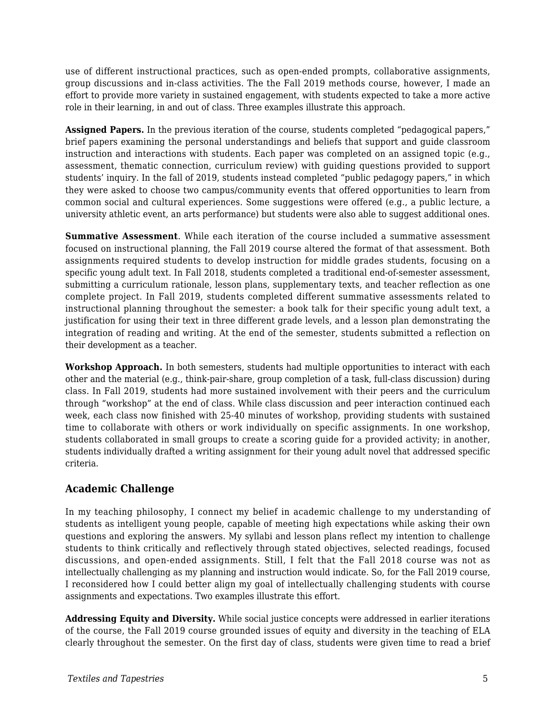use of different instructional practices, such as open-ended prompts, collaborative assignments, group discussions and in-class activities. The the Fall 2019 methods course, however, I made an effort to provide more variety in sustained engagement, with students expected to take a more active role in their learning, in and out of class. Three examples illustrate this approach.

**Assigned Papers.** In the previous iteration of the course, students completed "pedagogical papers," brief papers examining the personal understandings and beliefs that support and guide classroom instruction and interactions with students. Each paper was completed on an assigned topic (e.g., assessment, thematic connection, curriculum review) with guiding questions provided to support students' inquiry. In the fall of 2019, students instead completed "public pedagogy papers," in which they were asked to choose two campus/community events that offered opportunities to learn from common social and cultural experiences. Some suggestions were offered (e.g., a public lecture, a university athletic event, an arts performance) but students were also able to suggest additional ones.

**Summative Assessment**. While each iteration of the course included a summative assessment focused on instructional planning, the Fall 2019 course altered the format of that assessment. Both assignments required students to develop instruction for middle grades students, focusing on a specific young adult text. In Fall 2018, students completed a traditional end-of-semester assessment, submitting a curriculum rationale, lesson plans, supplementary texts, and teacher reflection as one complete project. In Fall 2019, students completed different summative assessments related to instructional planning throughout the semester: a book talk for their specific young adult text, a justification for using their text in three different grade levels, and a lesson plan demonstrating the integration of reading and writing. At the end of the semester, students submitted a reflection on their development as a teacher.

**Workshop Approach.** In both semesters, students had multiple opportunities to interact with each other and the material (e.g., think-pair-share, group completion of a task, full-class discussion) during class. In Fall 2019, students had more sustained involvement with their peers and the curriculum through "workshop" at the end of class. While class discussion and peer interaction continued each week, each class now finished with 25-40 minutes of workshop, providing students with sustained time to collaborate with others or work individually on specific assignments. In one workshop, students collaborated in small groups to create a scoring guide for a provided activity; in another, students individually drafted a writing assignment for their young adult novel that addressed specific criteria.

#### **Academic Challenge**

In my teaching philosophy, I connect my belief in academic challenge to my understanding of students as intelligent young people, capable of meeting high expectations while asking their own questions and exploring the answers. My syllabi and lesson plans reflect my intention to challenge students to think critically and reflectively through stated objectives, selected readings, focused discussions, and open-ended assignments. Still, I felt that the Fall 2018 course was not as intellectually challenging as my planning and instruction would indicate. So, for the Fall 2019 course, I reconsidered how I could better align my goal of intellectually challenging students with course assignments and expectations. Two examples illustrate this effort.

**Addressing Equity and Diversity.** While social justice concepts were addressed in earlier iterations of the course, the Fall 2019 course grounded issues of equity and diversity in the teaching of ELA clearly throughout the semester. On the first day of class, students were given time to read a brief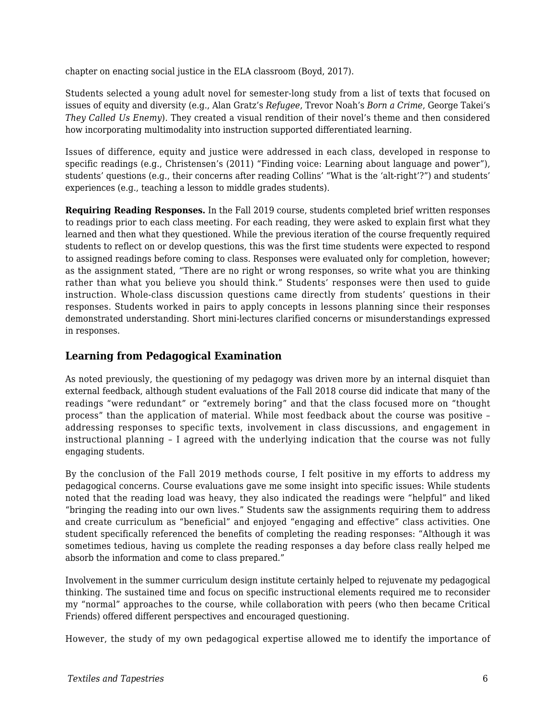chapter on enacting social justice in the ELA classroom (Boyd, 2017).

Students selected a young adult novel for semester-long study from a list of texts that focused on issues of equity and diversity (e.g., Alan Gratz's *Refugee*, Trevor Noah's *Born a Crime*, George Takei's *They Called Us Enemy*). They created a visual rendition of their novel's theme and then considered how incorporating multimodality into instruction supported differentiated learning.

Issues of difference, equity and justice were addressed in each class, developed in response to specific readings (e.g., Christensen's (2011) "Finding voice: Learning about language and power"), students' questions (e.g., their concerns after reading Collins' "What is the 'alt-right'?") and students' experiences (e.g., teaching a lesson to middle grades students).

**Requiring Reading Responses.** In the Fall 2019 course, students completed brief written responses to readings prior to each class meeting. For each reading, they were asked to explain first what they learned and then what they questioned. While the previous iteration of the course frequently required students to reflect on or develop questions, this was the first time students were expected to respond to assigned readings before coming to class. Responses were evaluated only for completion, however; as the assignment stated, "There are no right or wrong responses, so write what you are thinking rather than what you believe you should think." Students' responses were then used to guide instruction. Whole-class discussion questions came directly from students' questions in their responses. Students worked in pairs to apply concepts in lessons planning since their responses demonstrated understanding. Short mini-lectures clarified concerns or misunderstandings expressed in responses.

#### **Learning from Pedagogical Examination**

As noted previously, the questioning of my pedagogy was driven more by an internal disquiet than external feedback, although student evaluations of the Fall 2018 course did indicate that many of the readings "were redundant" or "extremely boring" and that the class focused more on "thought process" than the application of material. While most feedback about the course was positive – addressing responses to specific texts, involvement in class discussions, and engagement in instructional planning – I agreed with the underlying indication that the course was not fully engaging students.

By the conclusion of the Fall 2019 methods course, I felt positive in my efforts to address my pedagogical concerns. Course evaluations gave me some insight into specific issues: While students noted that the reading load was heavy, they also indicated the readings were "helpful" and liked "bringing the reading into our own lives." Students saw the assignments requiring them to address and create curriculum as "beneficial" and enjoyed "engaging and effective" class activities. One student specifically referenced the benefits of completing the reading responses: "Although it was sometimes tedious, having us complete the reading responses a day before class really helped me absorb the information and come to class prepared."

Involvement in the summer curriculum design institute certainly helped to rejuvenate my pedagogical thinking. The sustained time and focus on specific instructional elements required me to reconsider my "normal" approaches to the course, while collaboration with peers (who then became Critical Friends) offered different perspectives and encouraged questioning.

However, the study of my own pedagogical expertise allowed me to identify the importance of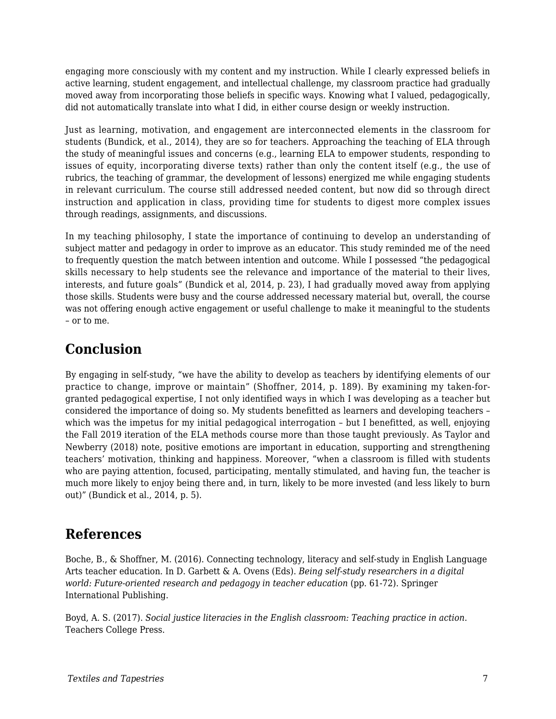engaging more consciously with my content and my instruction. While I clearly expressed beliefs in active learning, student engagement, and intellectual challenge, my classroom practice had gradually moved away from incorporating those beliefs in specific ways. Knowing what I valued, pedagogically, did not automatically translate into what I did, in either course design or weekly instruction.

Just as learning, motivation, and engagement are interconnected elements in the classroom for students (Bundick, et al., 2014), they are so for teachers. Approaching the teaching of ELA through the study of meaningful issues and concerns (e.g., learning ELA to empower students, responding to issues of equity, incorporating diverse texts) rather than only the content itself (e.g., the use of rubrics, the teaching of grammar, the development of lessons) energized me while engaging students in relevant curriculum. The course still addressed needed content, but now did so through direct instruction and application in class, providing time for students to digest more complex issues through readings, assignments, and discussions.

In my teaching philosophy, I state the importance of continuing to develop an understanding of subject matter and pedagogy in order to improve as an educator. This study reminded me of the need to frequently question the match between intention and outcome. While I possessed "the pedagogical skills necessary to help students see the relevance and importance of the material to their lives, interests, and future goals" (Bundick et al, 2014, p. 23), I had gradually moved away from applying those skills. Students were busy and the course addressed necessary material but, overall, the course was not offering enough active engagement or useful challenge to make it meaningful to the students – or to me.

### **Conclusion**

By engaging in self-study, "we have the ability to develop as teachers by identifying elements of our practice to change, improve or maintain" (Shoffner, 2014, p. 189). By examining my taken-forgranted pedagogical expertise, I not only identified ways in which I was developing as a teacher but considered the importance of doing so. My students benefitted as learners and developing teachers – which was the impetus for my initial pedagogical interrogation – but I benefitted, as well, enjoying the Fall 2019 iteration of the ELA methods course more than those taught previously. As Taylor and Newberry (2018) note, positive emotions are important in education, supporting and strengthening teachers' motivation, thinking and happiness. Moreover, "when a classroom is filled with students who are paying attention, focused, participating, mentally stimulated, and having fun, the teacher is much more likely to enjoy being there and, in turn, likely to be more invested (and less likely to burn out)" (Bundick et al., 2014, p. 5).

### **References**

Boche, B., & Shoffner, M. (2016). Connecting technology, literacy and self-study in English Language Arts teacher education. In D. Garbett & A. Ovens (Eds). *Being self-study researchers in a digital world: Future-oriented research and pedagogy in teacher education* (pp. 61-72). Springer International Publishing.

Boyd, A. S. (2017). *Social justice literacies in the English classroom: Teaching practice in action*. Teachers College Press.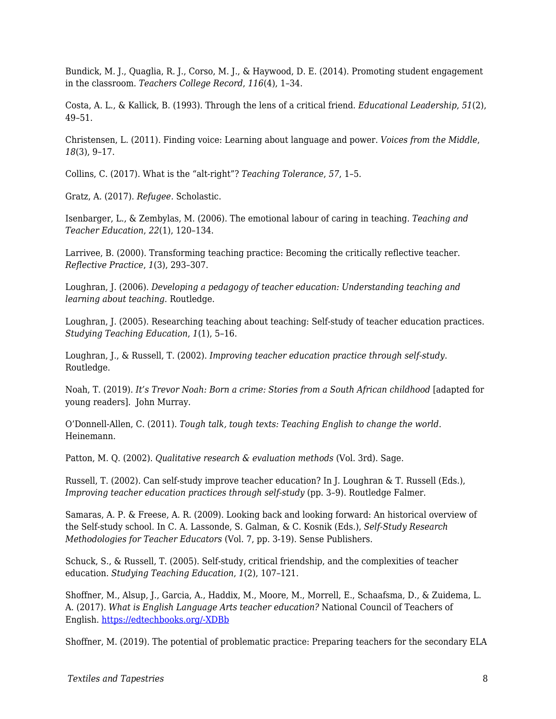Bundick, M. J., Quaglia, R. J., Corso, M. J., & Haywood, D. E. (2014). Promoting student engagement in the classroom. *Teachers College Record*, *116*(4), 1–34.

Costa, A. L., & Kallick, B. (1993). Through the lens of a critical friend. *Educational Leadership*, *51*(2), 49–51.

Christensen, L. (2011). Finding voice: Learning about language and power. *Voices from the Middle*, *18*(3), 9–17.

Collins, C. (2017). What is the "alt-right"? *Teaching Tolerance*, *57*, 1–5.

Gratz, A. (2017). *Refugee.* Scholastic.

Isenbarger, L., & Zembylas, M. (2006). The emotional labour of caring in teaching. *Teaching and Teacher Education*, *22*(1), 120–134.

Larrivee, B. (2000). Transforming teaching practice: Becoming the critically reflective teacher. *Reflective Practice*, *1*(3), 293–307.

Loughran, J. (2006). *Developing a pedagogy of teacher education: Understanding teaching and learning about teaching*. Routledge.

Loughran, J. (2005). Researching teaching about teaching: Self-study of teacher education practices. *Studying Teaching Education*, *1*(1), 5–16.

Loughran, J., & Russell, T. (2002). *Improving teacher education practice through self-study*. Routledge.

Noah, T. (2019). *It's Trevor Noah: Born a crime: Stories from a South African childhood* [adapted for young readers]. John Murray.

O'Donnell-Allen, C. (2011). *Tough talk, tough texts: Teaching English to change the world*. Heinemann.

Patton, M. Q. (2002). *Qualitative research & evaluation methods* (Vol. 3rd). Sage.

Russell, T. (2002). Can self-study improve teacher education? In J. Loughran & T. Russell (Eds.), *Improving teacher education practices through self-study* (pp. 3-9). Routledge Falmer.

Samaras, A. P. & Freese, A. R. (2009). Looking back and looking forward: An historical overview of the Self-study school. In C. A. Lassonde, S. Galman, & C. Kosnik (Eds.), *Self-Study Research Methodologies for Teacher Educators* (Vol. 7, pp. 3-19). Sense Publishers.

Schuck, S., & Russell, T. (2005). Self-study, critical friendship, and the complexities of teacher education. *Studying Teaching Education*, *1*(2), 107–121.

Shoffner, M., Alsup, J., Garcia, A., Haddix, M., Moore, M., Morrell, E., Schaafsma, D., & Zuidema, L. A. (2017). *What is English Language Arts teacher education?* National Council of Teachers of English. [https://edtechbooks.org/-XDBb](http://www2.ncte.org/statement/whatiselateachereducation/)

Shoffner, M. (2019). The potential of problematic practice: Preparing teachers for the secondary ELA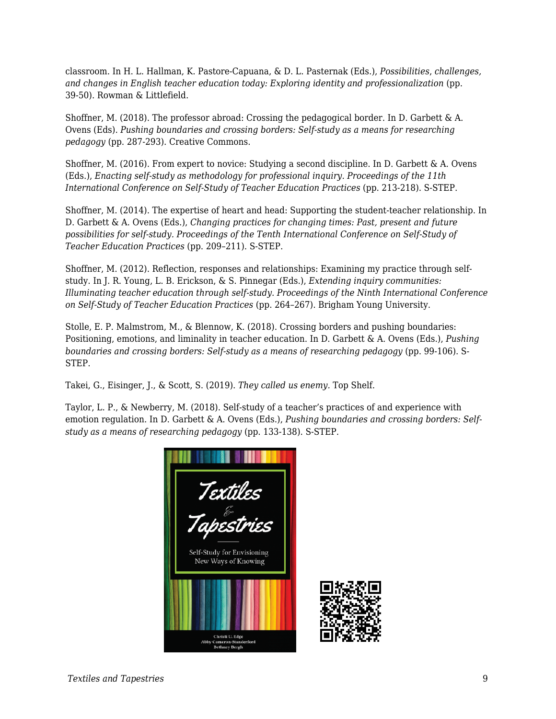classroom. In H. L. Hallman, K. Pastore-Capuana, & D. L. Pasternak (Eds.), *Possibilities*, *challenges, and changes in English teacher education today: Exploring identity and professionalization* (pp. 39-50). Rowman & Littlefield.

Shoffner, M. (2018). The professor abroad: Crossing the pedagogical border. In D. Garbett & A. Ovens (Eds). *Pushing boundaries and crossing borders: Self-study as a means for researching pedagogy* (pp. 287-293). Creative Commons.

Shoffner, M. (2016). From expert to novice: Studying a second discipline. In D. Garbett & A. Ovens (Eds.), *Enacting self-study as methodology for professional inquiry. Proceedings of the 11th International Conference on Self-Study of Teacher Education Practices* (pp. 213-218). S-STEP.

Shoffner, M. (2014). The expertise of heart and head: Supporting the student-teacher relationship. In D. Garbett & A. Ovens (Eds.), *Changing practices for changing times: Past, present and future possibilities for self-study. Proceedings of the Tenth International Conference on Self-Study of Teacher Education Practices* (pp. 209–211). S-STEP.

Shoffner, M. (2012). Reflection, responses and relationships: Examining my practice through selfstudy. In J. R. Young, L. B. Erickson, & S. Pinnegar (Eds.), *Extending inquiry communities: Illuminating teacher education through self-study. Proceedings of the Ninth International Conference on Self-Study of Teacher Education Practices* (pp. 264–267). Brigham Young University.

Stolle, E. P. Malmstrom, M., & Blennow, K. (2018). Crossing borders and pushing boundaries: Positioning, emotions, and liminality in teacher education. In D. Garbett & A. Ovens (Eds.), *Pushing boundaries and crossing borders: Self-study as a means of researching pedagogy* (pp. 99-106). S-STEP.

Takei, G., Eisinger, J., & Scott, S. (2019). *They called us enemy.* Top Shelf.

Taylor, L. P., & Newberry, M. (2018). Self-study of a teacher's practices of and experience with emotion regulation. In D. Garbett & A. Ovens (Eds.), *Pushing boundaries and crossing borders: Selfstudy as a means of researching pedagogy* (pp. 133-138). S-STEP.